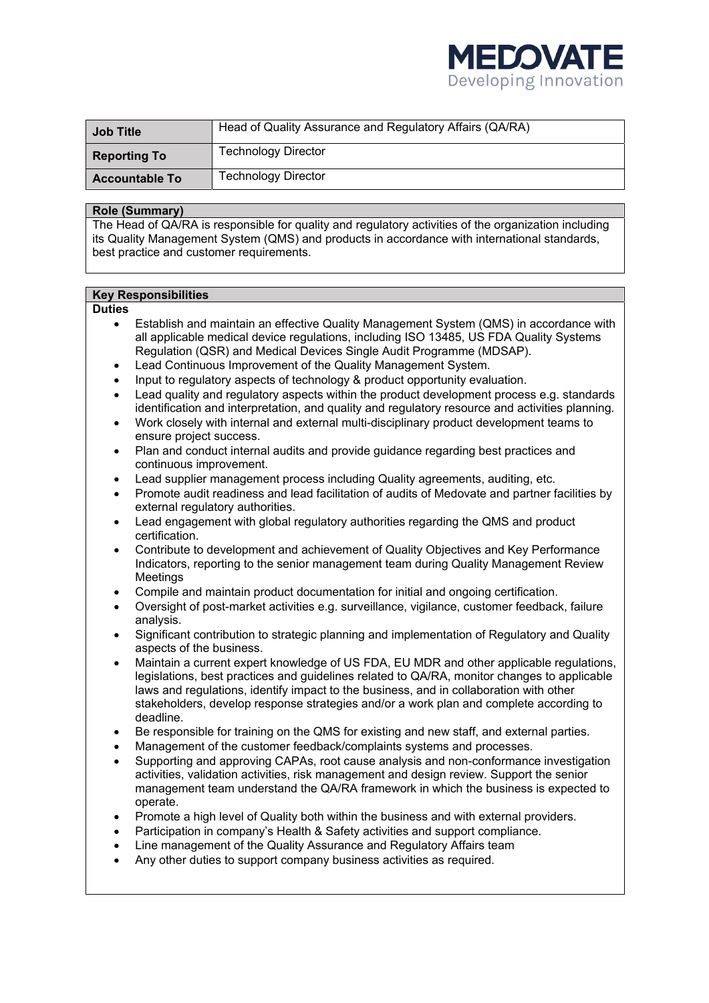

| <b>Job Title</b>      | Head of Quality Assurance and Regulatory Affairs (QA/RA) |
|-----------------------|----------------------------------------------------------|
| <b>Reporting To</b>   | <b>Technology Director</b>                               |
| <b>Accountable To</b> | <b>Technology Director</b>                               |

### **Role (Summary)**

The Head of QA/RA is responsible for quality and regulatory activities of the organization including its Quality Management System (QMS) and products in accordance with international standards, best practice and customer requirements.

## **Key Responsibilities**

#### **Duties**

- Establish and maintain an effective Quality Management System (QMS) in accordance with all applicable medical device regulations, including ISO 13485, US FDA Quality Systems Regulation (QSR) and Medical Devices Single Audit Programme (MDSAP).
- Lead Continuous Improvement of the Quality Management System.
- Input to regulatory aspects of technology & product opportunity evaluation.
- Lead quality and regulatory aspects within the product development process e.g. standards identification and interpretation, and quality and regulatory resource and activities planning.
- Work closely with internal and external multi-disciplinary product development teams to ensure project success.
- Plan and conduct internal audits and provide guidance regarding best practices and continuous improvement.
- Lead supplier management process including Quality agreements, auditing, etc.
- Promote audit readiness and lead facilitation of audits of Medovate and partner facilities by external regulatory authorities.
- Lead engagement with global regulatory authorities regarding the QMS and product certification.
- Contribute to development and achievement of Quality Objectives and Key Performance Indicators, reporting to the senior management team during Quality Management Review Meetings
- Compile and maintain product documentation for initial and ongoing certification.
- Oversight of post-market activities e.g. surveillance, vigilance, customer feedback, failure analysis.
- Significant contribution to strategic planning and implementation of Regulatory and Quality aspects of the business.
- Maintain a current expert knowledge of US FDA, EU MDR and other applicable regulations, legislations, best practices and guidelines related to QA/RA, monitor changes to applicable laws and regulations, identify impact to the business, and in collaboration with other stakeholders, develop response strategies and/or a work plan and complete according to deadline.
- Be responsible for training on the QMS for existing and new staff, and external parties.
- Management of the customer feedback/complaints systems and processes.
- Supporting and approving CAPAs, root cause analysis and non-conformance investigation activities, validation activities, risk management and design review. Support the senior management team understand the QA/RA framework in which the business is expected to operate.
- Promote a high level of Quality both within the business and with external providers.
- Participation in company's Health & Safety activities and support compliance.
- Line management of the Quality Assurance and Regulatory Affairs team
- Any other duties to support company business activities as required.